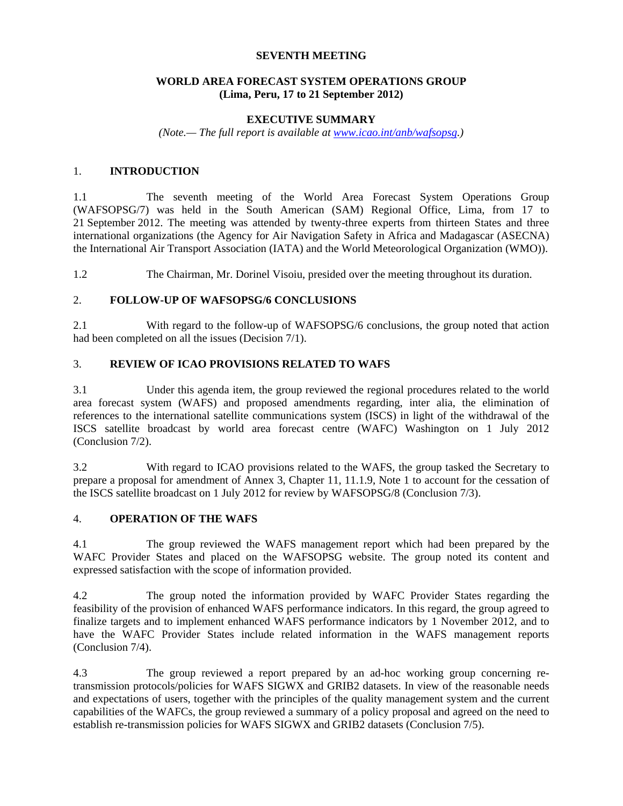## **SEVENTH MEETING**

## **WORLD AREA FORECAST SYSTEM OPERATIONS GROUP (Lima, Peru, 17 to 21 September 2012)**

#### **EXECUTIVE SUMMARY**

*(Note.— The full report is available at www.icao.int/anb/wafsopsg.)* 

## 1. **INTRODUCTION**

1.1 The seventh meeting of the World Area Forecast System Operations Group (WAFSOPSG/7) was held in the South American (SAM) Regional Office, Lima, from 17 to 21 September 2012. The meeting was attended by twenty-three experts from thirteen States and three international organizations (the Agency for Air Navigation Safety in Africa and Madagascar (ASECNA) the International Air Transport Association (IATA) and the World Meteorological Organization (WMO)).

1.2 The Chairman, Mr. Dorinel Visoiu, presided over the meeting throughout its duration.

#### 2. **FOLLOW-UP OF WAFSOPSG/6 CONCLUSIONS**

2.1 With regard to the follow-up of WAFSOPSG/6 conclusions, the group noted that action had been completed on all the issues (Decision 7/1).

# 3. **REVIEW OF ICAO PROVISIONS RELATED TO WAFS**

3.1 Under this agenda item, the group reviewed the regional procedures related to the world area forecast system (WAFS) and proposed amendments regarding, inter alia, the elimination of references to the international satellite communications system (ISCS) in light of the withdrawal of the ISCS satellite broadcast by world area forecast centre (WAFC) Washington on 1 July 2012 (Conclusion 7/2).

3.2 With regard to ICAO provisions related to the WAFS, the group tasked the Secretary to prepare a proposal for amendment of Annex 3, Chapter 11, 11.1.9, Note 1 to account for the cessation of the ISCS satellite broadcast on 1 July 2012 for review by WAFSOPSG/8 (Conclusion 7/3).

## 4. **OPERATION OF THE WAFS**

4.1 The group reviewed the WAFS management report which had been prepared by the WAFC Provider States and placed on the WAFSOPSG website. The group noted its content and expressed satisfaction with the scope of information provided.

4.2 The group noted the information provided by WAFC Provider States regarding the feasibility of the provision of enhanced WAFS performance indicators. In this regard, the group agreed to finalize targets and to implement enhanced WAFS performance indicators by 1 November 2012, and to have the WAFC Provider States include related information in the WAFS management reports (Conclusion 7/4).

4.3 The group reviewed a report prepared by an ad-hoc working group concerning retransmission protocols/policies for WAFS SIGWX and GRIB2 datasets. In view of the reasonable needs and expectations of users, together with the principles of the quality management system and the current capabilities of the WAFCs, the group reviewed a summary of a policy proposal and agreed on the need to establish re-transmission policies for WAFS SIGWX and GRIB2 datasets (Conclusion 7/5).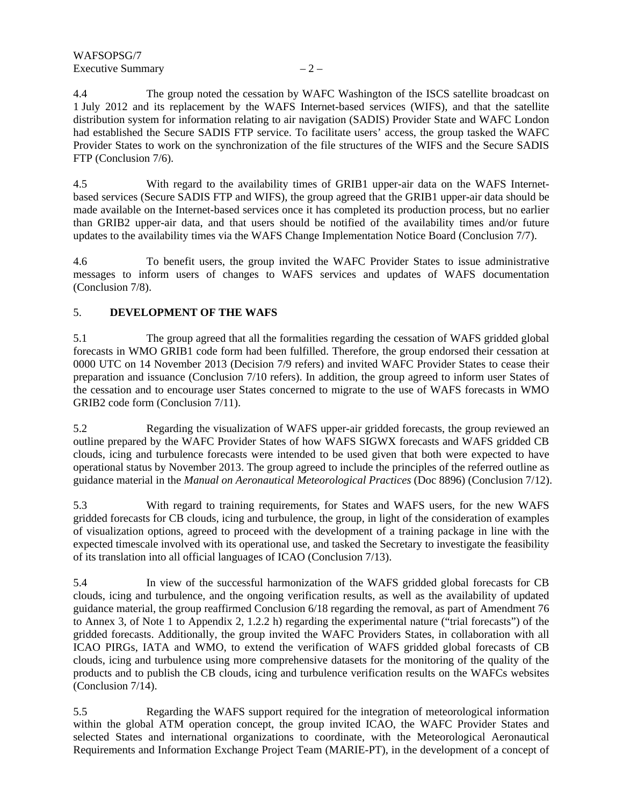4.4 The group noted the cessation by WAFC Washington of the ISCS satellite broadcast on 1 July 2012 and its replacement by the WAFS Internet-based services (WIFS), and that the satellite distribution system for information relating to air navigation (SADIS) Provider State and WAFC London had established the Secure SADIS FTP service. To facilitate users' access, the group tasked the WAFC Provider States to work on the synchronization of the file structures of the WIFS and the Secure SADIS FTP (Conclusion 7/6).

4.5 With regard to the availability times of GRIB1 upper-air data on the WAFS Internetbased services (Secure SADIS FTP and WIFS), the group agreed that the GRIB1 upper-air data should be made available on the Internet-based services once it has completed its production process, but no earlier than GRIB2 upper-air data, and that users should be notified of the availability times and/or future updates to the availability times via the WAFS Change Implementation Notice Board (Conclusion 7/7).

4.6 To benefit users, the group invited the WAFC Provider States to issue administrative messages to inform users of changes to WAFS services and updates of WAFS documentation (Conclusion 7/8).

# 5. **DEVELOPMENT OF THE WAFS**

5.1 The group agreed that all the formalities regarding the cessation of WAFS gridded global forecasts in WMO GRIB1 code form had been fulfilled. Therefore, the group endorsed their cessation at 0000 UTC on 14 November 2013 (Decision 7/9 refers) and invited WAFC Provider States to cease their preparation and issuance (Conclusion 7/10 refers). In addition, the group agreed to inform user States of the cessation and to encourage user States concerned to migrate to the use of WAFS forecasts in WMO GRIB2 code form (Conclusion 7/11).

5.2 Regarding the visualization of WAFS upper-air gridded forecasts, the group reviewed an outline prepared by the WAFC Provider States of how WAFS SIGWX forecasts and WAFS gridded CB clouds, icing and turbulence forecasts were intended to be used given that both were expected to have operational status by November 2013. The group agreed to include the principles of the referred outline as guidance material in the *Manual on Aeronautical Meteorological Practices* (Doc 8896) (Conclusion 7/12).

5.3 With regard to training requirements, for States and WAFS users, for the new WAFS gridded forecasts for CB clouds, icing and turbulence, the group, in light of the consideration of examples of visualization options, agreed to proceed with the development of a training package in line with the expected timescale involved with its operational use, and tasked the Secretary to investigate the feasibility of its translation into all official languages of ICAO (Conclusion 7/13).

5.4 In view of the successful harmonization of the WAFS gridded global forecasts for CB clouds, icing and turbulence, and the ongoing verification results, as well as the availability of updated guidance material, the group reaffirmed Conclusion 6/18 regarding the removal, as part of Amendment 76 to Annex 3, of Note 1 to Appendix 2, 1.2.2 h) regarding the experimental nature ("trial forecasts") of the gridded forecasts. Additionally, the group invited the WAFC Providers States, in collaboration with all ICAO PIRGs, IATA and WMO, to extend the verification of WAFS gridded global forecasts of CB clouds, icing and turbulence using more comprehensive datasets for the monitoring of the quality of the products and to publish the CB clouds, icing and turbulence verification results on the WAFCs websites (Conclusion 7/14).

5.5 Regarding the WAFS support required for the integration of meteorological information within the global ATM operation concept, the group invited ICAO, the WAFC Provider States and selected States and international organizations to coordinate, with the Meteorological Aeronautical Requirements and Information Exchange Project Team (MARIE-PT), in the development of a concept of